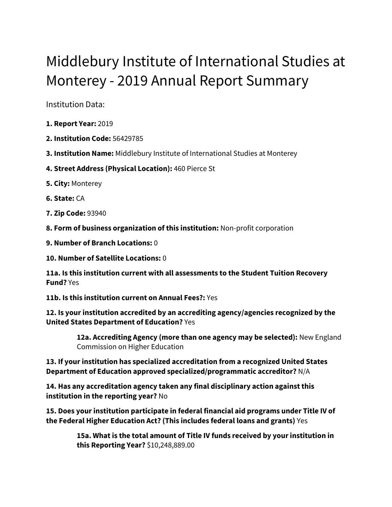# Middlebury Institute of International Studies at Monterey - 2019 Annual Report Summary

Institution Data:

- **1. Report Year:** 2019
- **2. Institution Code:** 56429785
- **3. Institution Name:** Middlebury Institute of International Studies at Monterey
- **4. Street Address (Physical Location):** 460 Pierce St
- **5. City:** Monterey
- **6. State:** CA
- **7. Zip Code:** 93940
- **8. Form of business organization of this institution:** Non-profit corporation
- **9. Number of Branch Locations:** 0
- **10. Number of Satellite Locations:** 0

**11a. Is this institution current with all assessments to the Student Tuition Recovery Fund?** Yes

**11b. Is this institution current on Annual Fees?:** Yes

**12. Is your institution accredited by an accrediting agency/agencies recognized by the United States Department of Education?** Yes

> **12a. Accrediting Agency (more than one agency may be selected):** New England Commission on Higher Education

**13. If your institution has specialized accreditation from a recognized United States Department of Education approved specialized/programmatic accreditor?** N/A

**14. Has any accreditation agency taken any final disciplinary action against this institution in the reporting year?** No

**15. Does your institution participate in federal financial aid programs under Title IV of the Federal Higher Education Act? (This includes federal loans and grants)** Yes

> **15a. What is the total amount of Title IV funds received by your institution in this Reporting Year?** \$10,248,889.00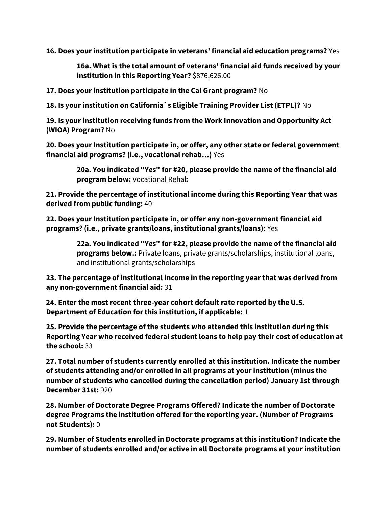**16. Does your institution participate in veterans' financial aid education programs?** Yes

**16a. What is the total amount of veterans' financial aid funds received by your institution in this Reporting Year?** \$876,626.00

**17. Does your institution participate in the Cal Grant program?** No

**18. Is your institution on California`s Eligible Training Provider List (ETPL)?** No

**19. Is your institution receiving funds from the Work Innovation and Opportunity Act (WIOA) Program?** No

**20. Does your Institution participate in, or offer, any other state or federal government financial aid programs? (i.e., vocational rehab…)** Yes

> **20a. You indicated "Yes" for #20, please provide the name of the financial aid program below:** Vocational Rehab

**21. Provide the percentage of institutional income during this Reporting Year that was derived from public funding:** 40

**22. Does your Institution participate in, or offer any non-government financial aid programs? (i.e., private grants/loans, institutional grants/loans):** Yes

> **22a. You indicated "Yes" for #22, please provide the name of the financial aid programs below.:** Private loans, private grants/scholarships, institutional loans, and institutional grants/scholarships

**23. The percentage of institutional income in the reporting year that was derived from any non-government financial aid:** 31

**24. Enter the most recent three-year cohort default rate reported by the U.S. Department of Education for this institution, if applicable:** 1

**25. Provide the percentage of the students who attended this institution during this Reporting Year who received federal student loans to help pay their cost of education at the school:** 33

**27. Total number of students currently enrolled at this institution. Indicate the number of students attending and/or enrolled in all programs at your institution (minus the number of students who cancelled during the cancellation period) January 1st through December 31st:** 920

**28. Number of Doctorate Degree Programs Offered? Indicate the number of Doctorate degree Programs the institution offered for the reporting year. (Number of Programs not Students):** 0

**29. Number of Students enrolled in Doctorate programs at this institution? Indicate the number of students enrolled and/or active in all Doctorate programs at your institution**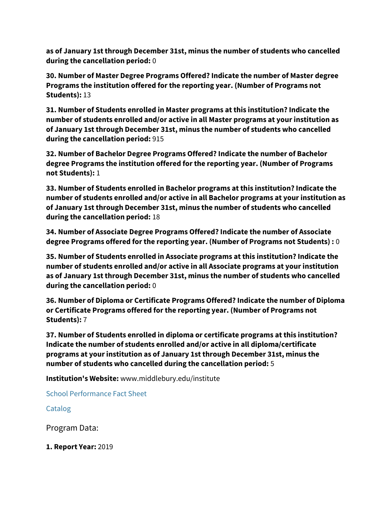**as of January 1st through December 31st, minus the number of students who cancelled during the cancellation period:** 0

**30. Number of Master Degree Programs Offered? Indicate the number of Master degree Programs the institution offered for the reporting year. (Number of Programs not Students):** 13

**31. Number of Students enrolled in Master programs at this institution? Indicate the number of students enrolled and/or active in all Master programs at your institution as of January 1st through December 31st, minus the number of students who cancelled during the cancellation period:** 915

**32. Number of Bachelor Degree Programs Offered? Indicate the number of Bachelor degree Programs the institution offered for the reporting year. (Number of Programs not Students):** 1

**33. Number of Students enrolled in Bachelor programs at this institution? Indicate the number of students enrolled and/or active in all Bachelor programs at your institution as of January 1st through December 31st, minus the number of students who cancelled during the cancellation period:** 18

**34. Number of Associate Degree Programs Offered? Indicate the number of Associate degree Programs offered for the reporting year. (Number of Programs not Students) :** 0

**35. Number of Students enrolled in Associate programs at this institution? Indicate the number of students enrolled and/or active in all Associate programs at your institution as of January 1st through December 31st, minus the number of students who cancelled during the cancellation period:** 0

**36. Number of Diploma or Certificate Programs Offered? Indicate the number of Diploma or Certificate Programs offered for the reporting year. (Number of Programs not Students):** 7

**37. Number of Students enrolled in diploma or certificate programs at this institution? Indicate the number of students enrolled and/or active in all diploma/certificate programs at your institution as of January 1st through December 31st, minus the number of students who cancelled during the cancellation period:** 5

**Institution's Website:** www.middlebury.edu/institute

[School Performance Fact Sheet](https://bppe.ca.gov/webapplications/annualReports/2019/document/E7C5C6ED-6FC5-4F13-9354-1B8BDBD7DEA5)

# [Catalog](https://bppe.ca.gov/webapplications/annualReports/2019/document/6B424EB6-3133-42A0-BFAA-CEE4E7B5CF08)

Program Data:

**1. Report Year:** 2019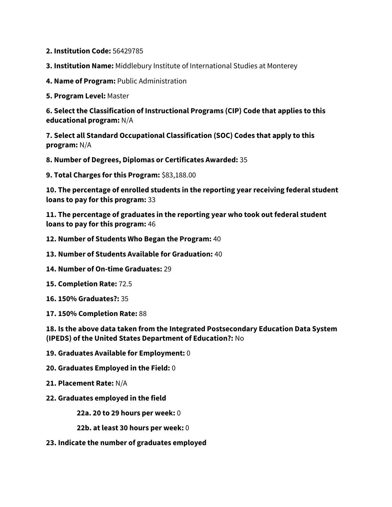- **2. Institution Code:** 56429785
- **3. Institution Name:** Middlebury Institute of International Studies at Monterey
- **4. Name of Program:** Public Administration

**5. Program Level:** Master

**6. Select the Classification of Instructional Programs (CIP) Code that applies to this educational program:** N/A

**7. Select all Standard Occupational Classification (SOC) Codes that apply to this program:** N/A

**8. Number of Degrees, Diplomas or Certificates Awarded:** 35

**9. Total Charges for this Program:** \$83,188.00

**10. The percentage of enrolled students in the reporting year receiving federal student loans to pay for this program:** 33

**11. The percentage of graduates in the reporting year who took out federal student loans to pay for this program:** 46

- **12. Number of Students Who Began the Program:** 40
- **13. Number of Students Available for Graduation:** 40
- **14. Number of On-time Graduates:** 29
- **15. Completion Rate:** 72.5
- **16. 150% Graduates?:** 35
- **17. 150% Completion Rate:** 88

**18. Is the above data taken from the Integrated Postsecondary Education Data System (IPEDS) of the United States Department of Education?:** No

- **19. Graduates Available for Employment:** 0
- **20. Graduates Employed in the Field:** 0
- **21. Placement Rate:** N/A
- **22. Graduates employed in the field**

**22a. 20 to 29 hours per week:** 0

**22b. at least 30 hours per week:** 0

**23. Indicate the number of graduates employed**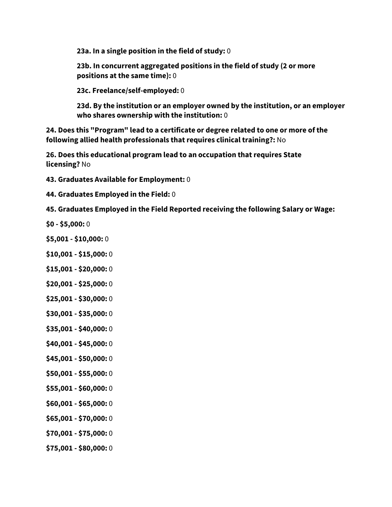**23a. In a single position in the field of study:** 0

**23b. In concurrent aggregated positions in the field of study (2 or more positions at the same time):** 0

**23c. Freelance/self-employed:** 0

**23d. By the institution or an employer owned by the institution, or an employer who shares ownership with the institution:** 0

**24. Does this "Program" lead to a certificate or degree related to one or more of the following allied health professionals that requires clinical training?:** No

**26. Does this educational program lead to an occupation that requires State licensing?** No

**43. Graduates Available for Employment:** 0

**44. Graduates Employed in the Field:** 0

**45. Graduates Employed in the Field Reported receiving the following Salary or Wage:**

- **\$0 - \$5,000:** 0
- **\$5,001 - \$10,000:** 0
- **\$10,001 - \$15,000:** 0
- **\$15,001 - \$20,000:** 0
- **\$20,001 - \$25,000:** 0
- **\$25,001 - \$30,000:** 0
- **\$30,001 - \$35,000:** 0
- **\$35,001 - \$40,000:** 0
- **\$40,001 - \$45,000:** 0
- **\$45,001 - \$50,000:** 0
- **\$50,001 - \$55,000:** 0
- **\$55,001 - \$60,000:** 0
- **\$60,001 - \$65,000:** 0
- **\$65,001 - \$70,000:** 0
- **\$70,001 - \$75,000:** 0
- **\$75,001 - \$80,000:** 0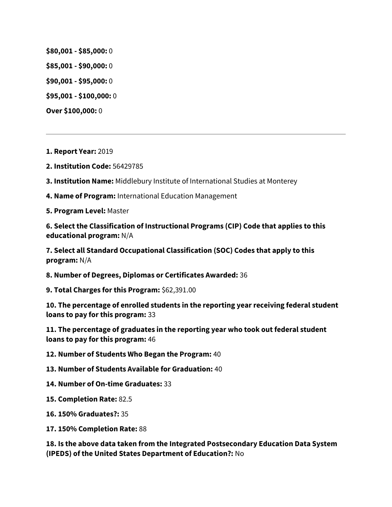**\$80,001 - \$85,000:** 0

**\$85,001 - \$90,000:** 0

**\$90,001 - \$95,000:** 0

**\$95,001 - \$100,000:** 0

**Over \$100,000:** 0

**1. Report Year:** 2019

**2. Institution Code:** 56429785

**3. Institution Name:** Middlebury Institute of International Studies at Monterey

**4. Name of Program:** International Education Management

**5. Program Level:** Master

**6. Select the Classification of Instructional Programs (CIP) Code that applies to this educational program:** N/A

**7. Select all Standard Occupational Classification (SOC) Codes that apply to this program:** N/A

**8. Number of Degrees, Diplomas or Certificates Awarded:** 36

**9. Total Charges for this Program:** \$62,391.00

**10. The percentage of enrolled students in the reporting year receiving federal student loans to pay for this program:** 33

**11. The percentage of graduates in the reporting year who took out federal student loans to pay for this program:** 46

**12. Number of Students Who Began the Program:** 40

**13. Number of Students Available for Graduation:** 40

**14. Number of On-time Graduates:** 33

**15. Completion Rate:** 82.5

**16. 150% Graduates?:** 35

**17. 150% Completion Rate:** 88

**18. Is the above data taken from the Integrated Postsecondary Education Data System (IPEDS) of the United States Department of Education?:** No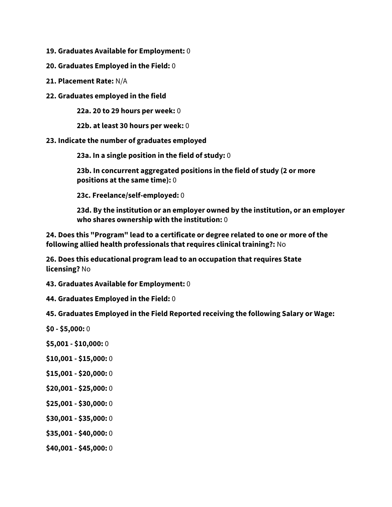- **19. Graduates Available for Employment:** 0
- **20. Graduates Employed in the Field:** 0
- **21. Placement Rate:** N/A
- **22. Graduates employed in the field**

**22a. 20 to 29 hours per week:** 0

**22b. at least 30 hours per week:** 0

#### **23. Indicate the number of graduates employed**

**23a. In a single position in the field of study:** 0

**23b. In concurrent aggregated positions in the field of study (2 or more positions at the same time):** 0

**23c. Freelance/self-employed:** 0

**23d. By the institution or an employer owned by the institution, or an employer who shares ownership with the institution:** 0

**24. Does this "Program" lead to a certificate or degree related to one or more of the following allied health professionals that requires clinical training?:** No

**26. Does this educational program lead to an occupation that requires State licensing?** No

**43. Graduates Available for Employment:** 0

**44. Graduates Employed in the Field:** 0

**45. Graduates Employed in the Field Reported receiving the following Salary or Wage:**

- **\$0 - \$5,000:** 0
- **\$5,001 - \$10,000:** 0
- **\$10,001 - \$15,000:** 0
- **\$15,001 - \$20,000:** 0
- **\$20,001 - \$25,000:** 0
- **\$25,001 - \$30,000:** 0
- **\$30,001 - \$35,000:** 0
- **\$35,001 - \$40,000:** 0
- **\$40,001 - \$45,000:** 0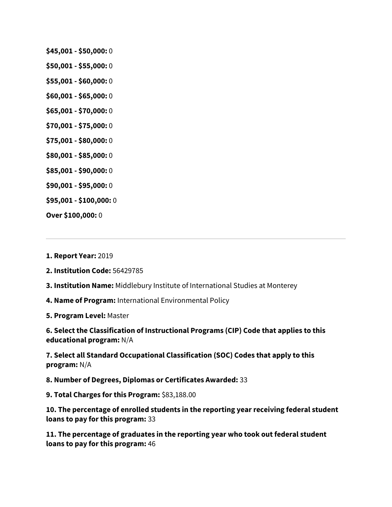- **\$45,001 - \$50,000:** 0
- **\$50,001 - \$55,000:** 0
- **\$55,001 - \$60,000:** 0
- **\$60,001 - \$65,000:** 0
- **\$65,001 - \$70,000:** 0
- **\$70,001 - \$75,000:** 0
- **\$75,001 - \$80,000:** 0
- **\$80,001 - \$85,000:** 0
- **\$85,001 - \$90,000:** 0
- **\$90,001 - \$95,000:** 0
- **\$95,001 - \$100,000:** 0
- **Over \$100,000:** 0

**1. Report Year:** 2019

**2. Institution Code:** 56429785

**3. Institution Name:** Middlebury Institute of International Studies at Monterey

**4. Name of Program:** International Environmental Policy

**5. Program Level:** Master

**6. Select the Classification of Instructional Programs (CIP) Code that applies to this educational program:** N/A

**7. Select all Standard Occupational Classification (SOC) Codes that apply to this program:** N/A

**8. Number of Degrees, Diplomas or Certificates Awarded:** 33

**9. Total Charges for this Program:** \$83,188.00

**10. The percentage of enrolled students in the reporting year receiving federal student loans to pay for this program:** 33

**11. The percentage of graduates in the reporting year who took out federal student loans to pay for this program:** 46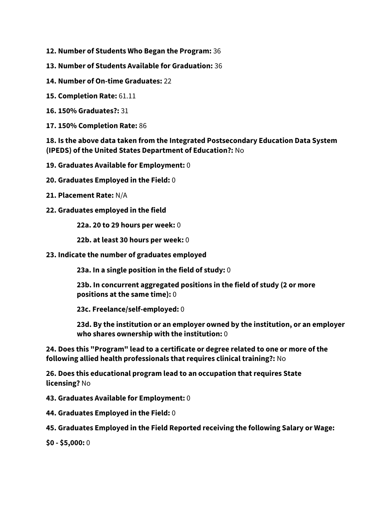- **12. Number of Students Who Began the Program:** 36
- **13. Number of Students Available for Graduation:** 36
- **14. Number of On-time Graduates:** 22
- **15. Completion Rate:** 61.11
- **16. 150% Graduates?:** 31
- **17. 150% Completion Rate:** 86

# **18. Is the above data taken from the Integrated Postsecondary Education Data System (IPEDS) of the United States Department of Education?:** No

- **19. Graduates Available for Employment:** 0
- **20. Graduates Employed in the Field:** 0
- **21. Placement Rate:** N/A
- **22. Graduates employed in the field**

**22a. 20 to 29 hours per week:** 0

**22b. at least 30 hours per week:** 0

**23. Indicate the number of graduates employed**

**23a. In a single position in the field of study:** 0

**23b. In concurrent aggregated positions in the field of study (2 or more positions at the same time):** 0

**23c. Freelance/self-employed:** 0

**23d. By the institution or an employer owned by the institution, or an employer who shares ownership with the institution:** 0

**24. Does this "Program" lead to a certificate or degree related to one or more of the following allied health professionals that requires clinical training?:** No

**26. Does this educational program lead to an occupation that requires State licensing?** No

**43. Graduates Available for Employment:** 0

**44. Graduates Employed in the Field:** 0

**45. Graduates Employed in the Field Reported receiving the following Salary or Wage:**

**\$0 - \$5,000:** 0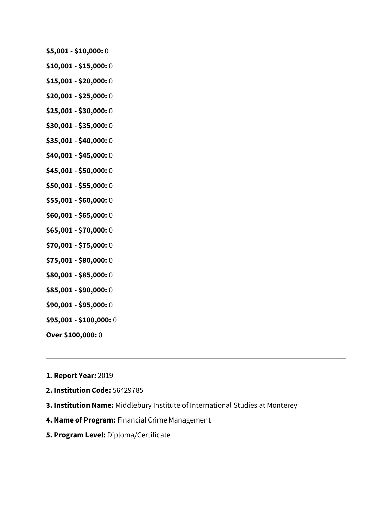- **\$5,001 - \$10,000:** 0
- **\$10,001 - \$15,000:** 0
- **\$15,001 - \$20,000:** 0
- **\$20,001 - \$25,000:** 0
- **\$25,001 - \$30,000:** 0
- **\$30,001 - \$35,000:** 0
- **\$35,001 - \$40,000:** 0
- **\$40,001 - \$45,000:** 0
- **\$45,001 - \$50,000:** 0
- **\$50,001 - \$55,000:** 0
- **\$55,001 - \$60,000:** 0
- **\$60,001 - \$65,000:** 0
- **\$65,001 - \$70,000:** 0
- **\$70,001 - \$75,000:** 0
- **\$75,001 - \$80,000:** 0
- **\$80,001 - \$85,000:** 0
- **\$85,001 - \$90,000:** 0
- **\$90,001 - \$95,000:** 0
- **\$95,001 - \$100,000:** 0
- **Over \$100,000:** 0
- **1. Report Year:** 2019
- **2. Institution Code:** 56429785
- **3. Institution Name:** Middlebury Institute of International Studies at Monterey
- **4. Name of Program:** Financial Crime Management
- **5. Program Level:** Diploma/Certificate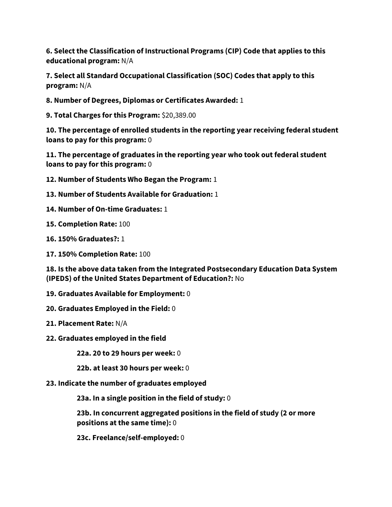**6. Select the Classification of Instructional Programs (CIP) Code that applies to this educational program:** N/A

**7. Select all Standard Occupational Classification (SOC) Codes that apply to this program:** N/A

**8. Number of Degrees, Diplomas or Certificates Awarded:** 1

**9. Total Charges for this Program:** \$20,389.00

**10. The percentage of enrolled students in the reporting year receiving federal student loans to pay for this program:** 0

**11. The percentage of graduates in the reporting year who took out federal student loans to pay for this program:** 0

- **12. Number of Students Who Began the Program:** 1
- **13. Number of Students Available for Graduation:** 1
- **14. Number of On-time Graduates:** 1
- **15. Completion Rate:** 100
- **16. 150% Graduates?:** 1
- **17. 150% Completion Rate:** 100

**18. Is the above data taken from the Integrated Postsecondary Education Data System (IPEDS) of the United States Department of Education?:** No

- **19. Graduates Available for Employment:** 0
- **20. Graduates Employed in the Field:** 0
- **21. Placement Rate:** N/A
- **22. Graduates employed in the field**

**22a. 20 to 29 hours per week:** 0

**22b. at least 30 hours per week:** 0

**23. Indicate the number of graduates employed**

**23a. In a single position in the field of study:** 0

**23b. In concurrent aggregated positions in the field of study (2 or more positions at the same time):** 0

**23c. Freelance/self-employed:** 0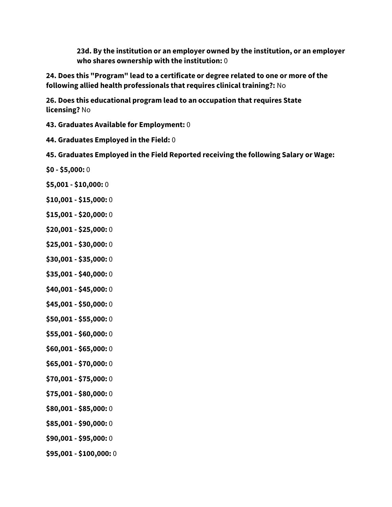**23d. By the institution or an employer owned by the institution, or an employer who shares ownership with the institution:** 0

**24. Does this "Program" lead to a certificate or degree related to one or more of the following allied health professionals that requires clinical training?:** No

**26. Does this educational program lead to an occupation that requires State licensing?** No

- **43. Graduates Available for Employment:** 0
- **44. Graduates Employed in the Field:** 0
- **45. Graduates Employed in the Field Reported receiving the following Salary or Wage:**
- **\$0 - \$5,000:** 0
- **\$5,001 - \$10,000:** 0
- **\$10,001 - \$15,000:** 0
- **\$15,001 - \$20,000:** 0
- **\$20,001 - \$25,000:** 0
- **\$25,001 - \$30,000:** 0
- **\$30,001 - \$35,000:** 0
- **\$35,001 - \$40,000:** 0
- **\$40,001 - \$45,000:** 0
- **\$45,001 - \$50,000:** 0
- **\$50,001 - \$55,000:** 0
- **\$55,001 - \$60,000:** 0
- **\$60,001 - \$65,000:** 0
- **\$65,001 - \$70,000:** 0
- **\$70,001 - \$75,000:** 0
- **\$75,001 - \$80,000:** 0
- **\$80,001 - \$85,000:** 0
- **\$85,001 - \$90,000:** 0
- **\$90,001 - \$95,000:** 0
- **\$95,001 - \$100,000:** 0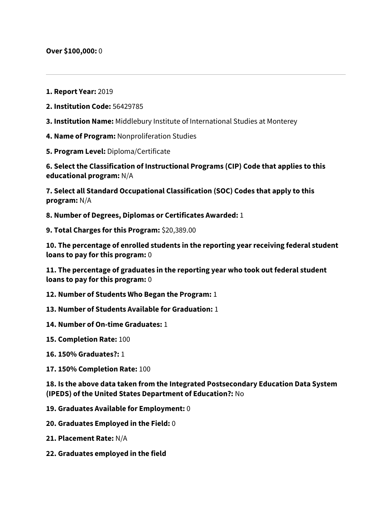- **1. Report Year:** 2019
- **2. Institution Code:** 56429785
- **3. Institution Name:** Middlebury Institute of International Studies at Monterey
- **4. Name of Program:** Nonproliferation Studies
- **5. Program Level:** Diploma/Certificate

**6. Select the Classification of Instructional Programs (CIP) Code that applies to this educational program:** N/A

**7. Select all Standard Occupational Classification (SOC) Codes that apply to this program:** N/A

**8. Number of Degrees, Diplomas or Certificates Awarded:** 1

**9. Total Charges for this Program:** \$20,389.00

**10. The percentage of enrolled students in the reporting year receiving federal student loans to pay for this program:** 0

**11. The percentage of graduates in the reporting year who took out federal student loans to pay for this program:** 0

**12. Number of Students Who Began the Program:** 1

**13. Number of Students Available for Graduation:** 1

- **14. Number of On-time Graduates:** 1
- **15. Completion Rate:** 100
- **16. 150% Graduates?:** 1
- **17. 150% Completion Rate:** 100

**18. Is the above data taken from the Integrated Postsecondary Education Data System (IPEDS) of the United States Department of Education?:** No

**19. Graduates Available for Employment:** 0

- **20. Graduates Employed in the Field:** 0
- **21. Placement Rate:** N/A
- **22. Graduates employed in the field**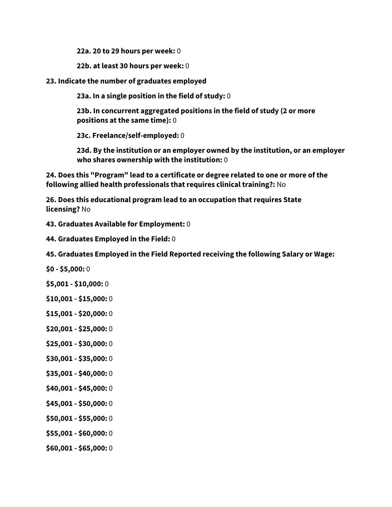**22a. 20 to 29 hours per week:** 0

**22b. at least 30 hours per week:** 0

**23. Indicate the number of graduates employed**

**23a. In a single position in the field of study:** 0

**23b. In concurrent aggregated positions in the field of study (2 or more positions at the same time):** 0

**23c. Freelance/self-employed:** 0

**23d. By the institution or an employer owned by the institution, or an employer who shares ownership with the institution:** 0

**24. Does this "Program" lead to a certificate or degree related to one or more of the following allied health professionals that requires clinical training?:** No

**26. Does this educational program lead to an occupation that requires State licensing?** No

**43. Graduates Available for Employment:** 0

**44. Graduates Employed in the Field:** 0

**45. Graduates Employed in the Field Reported receiving the following Salary or Wage:**

**\$0 - \$5,000:** 0

**\$5,001 - \$10,000:** 0

**\$10,001 - \$15,000:** 0

- **\$15,001 - \$20,000:** 0
- **\$20,001 - \$25,000:** 0
- **\$25,001 - \$30,000:** 0
- **\$30,001 - \$35,000:** 0
- **\$35,001 - \$40,000:** 0
- **\$40,001 - \$45,000:** 0
- **\$45,001 - \$50,000:** 0
- **\$50,001 - \$55,000:** 0
- **\$55,001 - \$60,000:** 0
- **\$60,001 - \$65,000:** 0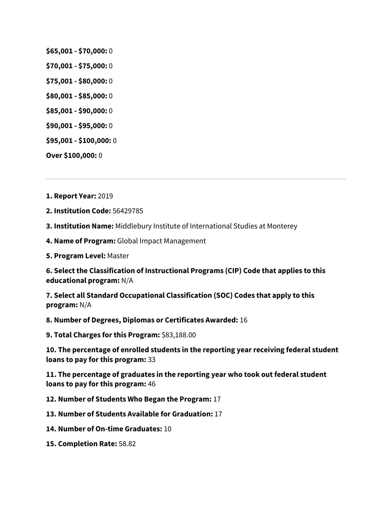- **\$65,001 - \$70,000:** 0
- **\$70,001 - \$75,000:** 0
- **\$75,001 - \$80,000:** 0
- **\$80,001 - \$85,000:** 0
- **\$85,001 - \$90,000:** 0
- **\$90,001 - \$95,000:** 0
- **\$95,001 - \$100,000:** 0

**Over \$100,000:** 0

**1. Report Year:** 2019

**2. Institution Code:** 56429785

**3. Institution Name:** Middlebury Institute of International Studies at Monterey

- **4. Name of Program:** Global Impact Management
- **5. Program Level:** Master

**6. Select the Classification of Instructional Programs (CIP) Code that applies to this educational program:** N/A

**7. Select all Standard Occupational Classification (SOC) Codes that apply to this program:** N/A

**8. Number of Degrees, Diplomas or Certificates Awarded:** 16

**9. Total Charges for this Program:** \$83,188.00

**10. The percentage of enrolled students in the reporting year receiving federal student loans to pay for this program:** 33

**11. The percentage of graduates in the reporting year who took out federal student loans to pay for this program:** 46

**12. Number of Students Who Began the Program:** 17

**13. Number of Students Available for Graduation:** 17

- **14. Number of On-time Graduates:** 10
- **15. Completion Rate:** 58.82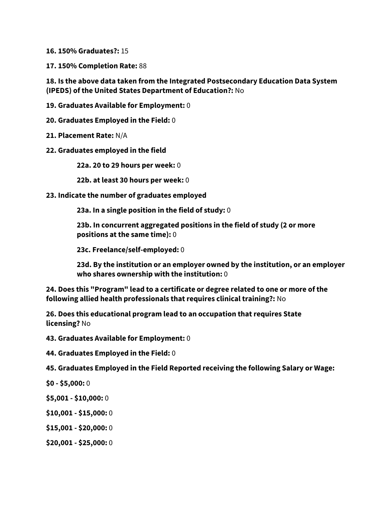**16. 150% Graduates?:** 15

**17. 150% Completion Rate:** 88

**18. Is the above data taken from the Integrated Postsecondary Education Data System (IPEDS) of the United States Department of Education?:** No

**19. Graduates Available for Employment:** 0

**20. Graduates Employed in the Field:** 0

**21. Placement Rate:** N/A

**22. Graduates employed in the field**

**22a. 20 to 29 hours per week:** 0

**22b. at least 30 hours per week:** 0

## **23. Indicate the number of graduates employed**

**23a. In a single position in the field of study:** 0

**23b. In concurrent aggregated positions in the field of study (2 or more positions at the same time):** 0

**23c. Freelance/self-employed:** 0

**23d. By the institution or an employer owned by the institution, or an employer who shares ownership with the institution:** 0

**24. Does this "Program" lead to a certificate or degree related to one or more of the following allied health professionals that requires clinical training?:** No

**26. Does this educational program lead to an occupation that requires State licensing?** No

**43. Graduates Available for Employment:** 0

**44. Graduates Employed in the Field:** 0

**45. Graduates Employed in the Field Reported receiving the following Salary or Wage:**

**\$0 - \$5,000:** 0

- **\$5,001 - \$10,000:** 0
- **\$10,001 - \$15,000:** 0
- **\$15,001 - \$20,000:** 0
- **\$20,001 - \$25,000:** 0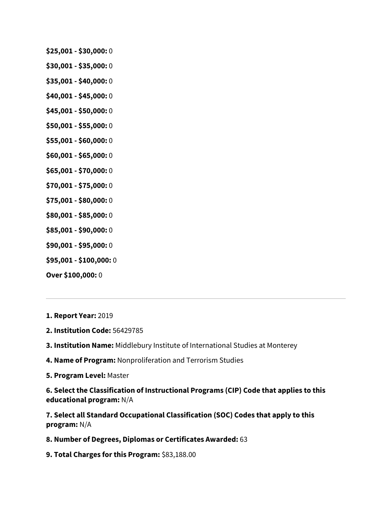- **\$25,001 - \$30,000:** 0
- **\$30,001 - \$35,000:** 0
- **\$35,001 - \$40,000:** 0
- **\$40,001 - \$45,000:** 0
- **\$45,001 - \$50,000:** 0
- **\$50,001 - \$55,000:** 0
- **\$55,001 - \$60,000:** 0
- **\$60,001 - \$65,000:** 0
- **\$65,001 - \$70,000:** 0
- **\$70,001 - \$75,000:** 0
- **\$75,001 - \$80,000:** 0
- **\$80,001 - \$85,000:** 0
- **\$85,001 - \$90,000:** 0
- **\$90,001 - \$95,000:** 0
- **\$95,001 - \$100,000:** 0
- **Over \$100,000:** 0
- **1. Report Year:** 2019
- **2. Institution Code:** 56429785
- **3. Institution Name:** Middlebury Institute of International Studies at Monterey
- **4. Name of Program:** Nonproliferation and Terrorism Studies
- **5. Program Level:** Master

**6. Select the Classification of Instructional Programs (CIP) Code that applies to this educational program:** N/A

**7. Select all Standard Occupational Classification (SOC) Codes that apply to this program:** N/A

- **8. Number of Degrees, Diplomas or Certificates Awarded:** 63
- **9. Total Charges for this Program:** \$83,188.00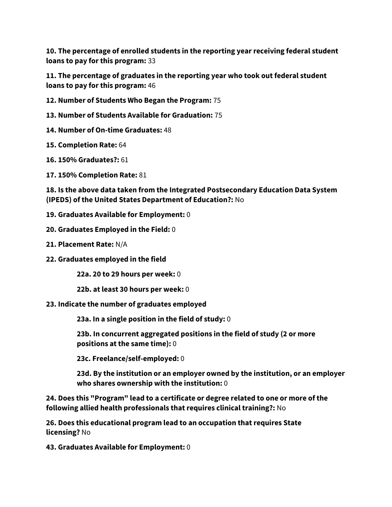**10. The percentage of enrolled students in the reporting year receiving federal student loans to pay for this program:** 33

**11. The percentage of graduates in the reporting year who took out federal student loans to pay for this program:** 46

**12. Number of Students Who Began the Program:** 75

**13. Number of Students Available for Graduation:** 75

**14. Number of On-time Graduates:** 48

**15. Completion Rate:** 64

**16. 150% Graduates?:** 61

**17. 150% Completion Rate:** 81

**18. Is the above data taken from the Integrated Postsecondary Education Data System (IPEDS) of the United States Department of Education?:** No

**19. Graduates Available for Employment:** 0

**20. Graduates Employed in the Field:** 0

**21. Placement Rate:** N/A

**22. Graduates employed in the field**

**22a. 20 to 29 hours per week:** 0

**22b. at least 30 hours per week:** 0

**23. Indicate the number of graduates employed**

**23a. In a single position in the field of study:** 0

**23b. In concurrent aggregated positions in the field of study (2 or more positions at the same time):** 0

**23c. Freelance/self-employed:** 0

**23d. By the institution or an employer owned by the institution, or an employer who shares ownership with the institution:** 0

**24. Does this "Program" lead to a certificate or degree related to one or more of the following allied health professionals that requires clinical training?:** No

**26. Does this educational program lead to an occupation that requires State licensing?** No

**43. Graduates Available for Employment:** 0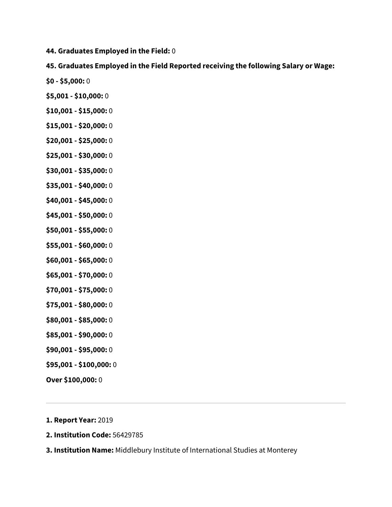**44. Graduates Employed in the Field:** 0

# **45. Graduates Employed in the Field Reported receiving the following Salary or Wage:**

- **\$0 - \$5,000:** 0
- **\$5,001 - \$10,000:** 0
- **\$10,001 - \$15,000:** 0
- **\$15,001 - \$20,000:** 0
- **\$20,001 - \$25,000:** 0
- **\$25,001 - \$30,000:** 0
- **\$30,001 - \$35,000:** 0
- **\$35,001 - \$40,000:** 0
- **\$40,001 - \$45,000:** 0
- **\$45,001 - \$50,000:** 0
- **\$50,001 - \$55,000:** 0
- **\$55,001 - \$60,000:** 0
- **\$60,001 - \$65,000:** 0
- **\$65,001 - \$70,000:** 0
- **\$70,001 - \$75,000:** 0
- **\$75,001 - \$80,000:** 0
- **\$80,001 - \$85,000:** 0
- **\$85,001 - \$90,000:** 0
- **\$90,001 - \$95,000:** 0
- **\$95,001 - \$100,000:** 0
- **Over \$100,000:** 0

### **1. Report Year:** 2019

- **2. Institution Code:** 56429785
- **3. Institution Name:** Middlebury Institute of International Studies at Monterey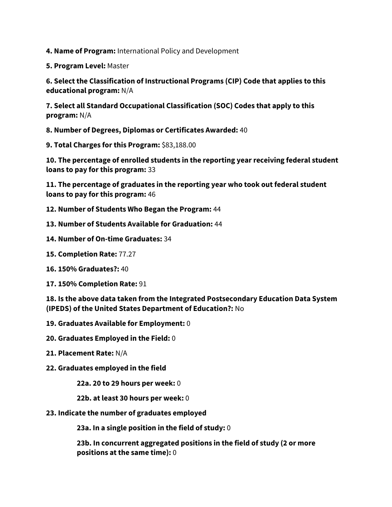**4. Name of Program:** International Policy and Development

**5. Program Level:** Master

**6. Select the Classification of Instructional Programs (CIP) Code that applies to this educational program:** N/A

**7. Select all Standard Occupational Classification (SOC) Codes that apply to this program:** N/A

**8. Number of Degrees, Diplomas or Certificates Awarded:** 40

**9. Total Charges for this Program:** \$83,188.00

**10. The percentage of enrolled students in the reporting year receiving federal student loans to pay for this program:** 33

**11. The percentage of graduates in the reporting year who took out federal student loans to pay for this program:** 46

**12. Number of Students Who Began the Program:** 44

**13. Number of Students Available for Graduation:** 44

- **14. Number of On-time Graduates:** 34
- **15. Completion Rate:** 77.27
- **16. 150% Graduates?:** 40
- **17. 150% Completion Rate:** 91

**18. Is the above data taken from the Integrated Postsecondary Education Data System (IPEDS) of the United States Department of Education?:** No

- **19. Graduates Available for Employment:** 0
- **20. Graduates Employed in the Field:** 0
- **21. Placement Rate:** N/A
- **22. Graduates employed in the field**

**22a. 20 to 29 hours per week:** 0

- **22b. at least 30 hours per week:** 0
- **23. Indicate the number of graduates employed**

**23a. In a single position in the field of study:** 0

**23b. In concurrent aggregated positions in the field of study (2 or more positions at the same time):** 0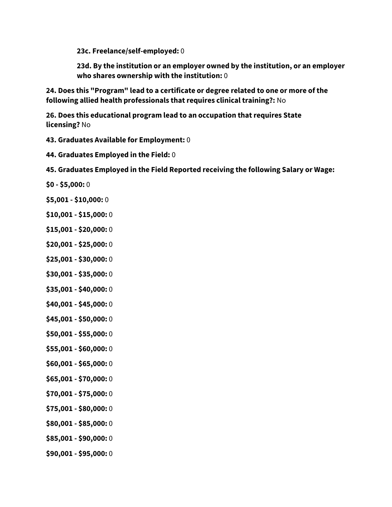**23c. Freelance/self-employed:** 0

**23d. By the institution or an employer owned by the institution, or an employer who shares ownership with the institution:** 0

**24. Does this "Program" lead to a certificate or degree related to one or more of the following allied health professionals that requires clinical training?:** No

**26. Does this educational program lead to an occupation that requires State licensing?** No

**43. Graduates Available for Employment:** 0

**44. Graduates Employed in the Field:** 0

**45. Graduates Employed in the Field Reported receiving the following Salary or Wage:**

- **\$0 - \$5,000:** 0
- **\$5,001 - \$10,000:** 0
- **\$10,001 - \$15,000:** 0
- **\$15,001 - \$20,000:** 0
- **\$20,001 - \$25,000:** 0
- **\$25,001 - \$30,000:** 0
- **\$30,001 - \$35,000:** 0
- **\$35,001 - \$40,000:** 0
- **\$40,001 - \$45,000:** 0
- **\$45,001 - \$50,000:** 0
- **\$50,001 - \$55,000:** 0
- **\$55,001 - \$60,000:** 0
- **\$60,001 - \$65,000:** 0
- **\$65,001 - \$70,000:** 0
- **\$70,001 - \$75,000:** 0
- **\$75,001 - \$80,000:** 0
- **\$80,001 - \$85,000:** 0
- **\$85,001 - \$90,000:** 0
- **\$90,001 - \$95,000:** 0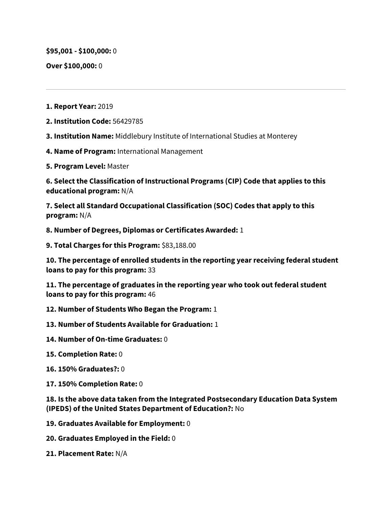**\$95,001 - \$100,000:** 0

**Over \$100,000:** 0

- **1. Report Year:** 2019
- **2. Institution Code:** 56429785
- **3. Institution Name:** Middlebury Institute of International Studies at Monterey
- **4. Name of Program:** International Management
- **5. Program Level:** Master

**6. Select the Classification of Instructional Programs (CIP) Code that applies to this educational program:** N/A

**7. Select all Standard Occupational Classification (SOC) Codes that apply to this program:** N/A

**8. Number of Degrees, Diplomas or Certificates Awarded:** 1

**9. Total Charges for this Program:** \$83,188.00

**10. The percentage of enrolled students in the reporting year receiving federal student loans to pay for this program:** 33

**11. The percentage of graduates in the reporting year who took out federal student loans to pay for this program:** 46

- **12. Number of Students Who Began the Program:** 1
- **13. Number of Students Available for Graduation:** 1
- **14. Number of On-time Graduates:** 0
- **15. Completion Rate:** 0
- **16. 150% Graduates?:** 0
- **17. 150% Completion Rate:** 0

**18. Is the above data taken from the Integrated Postsecondary Education Data System (IPEDS) of the United States Department of Education?:** No

- **19. Graduates Available for Employment:** 0
- **20. Graduates Employed in the Field:** 0
- **21. Placement Rate:** N/A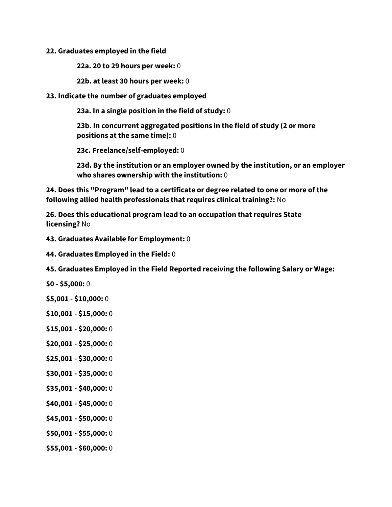#### **22. Graduates employed in the field**

**22a. 20 to 29 hours per week:** 0

**22b. at least 30 hours per week:** 0

## **23. Indicate the number of graduates employed**

**23a. In a single position in the field of study:** 0

**23b. In concurrent aggregated positions in the field of study (2 or more positions at the same time):** 0

**23c. Freelance/self-employed:** 0

**23d. By the institution or an employer owned by the institution, or an employer who shares ownership with the institution:** 0

**24. Does this "Program" lead to a certificate or degree related to one or more of the following allied health professionals that requires clinical training?:** No

**26. Does this educational program lead to an occupation that requires State licensing?** No

**43. Graduates Available for Employment:** 0

**44. Graduates Employed in the Field:** 0

**45. Graduates Employed in the Field Reported receiving the following Salary or Wage:**

- **\$0 - \$5,000:** 0
- **\$5,001 - \$10,000:** 0
- **\$10,001 - \$15,000:** 0
- **\$15,001 - \$20,000:** 0
- **\$20,001 - \$25,000:** 0
- **\$25,001 - \$30,000:** 0
- **\$30,001 - \$35,000:** 0
- **\$35,001 - \$40,000:** 0
- **\$40,001 - \$45,000:** 0
- **\$45,001 - \$50,000:** 0
- **\$50,001 - \$55,000:** 0
- **\$55,001 - \$60,000:** 0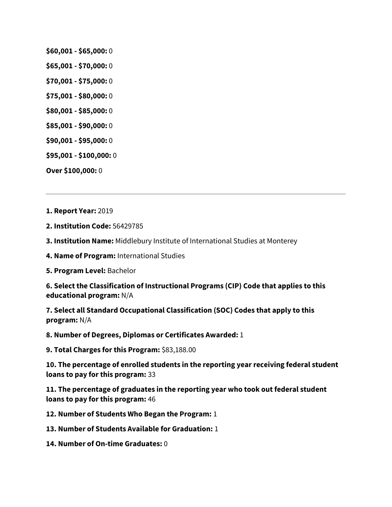- **\$60,001 - \$65,000:** 0
- **\$65,001 - \$70,000:** 0
- **\$70,001 - \$75,000:** 0
- **\$75,001 - \$80,000:** 0
- **\$80,001 - \$85,000:** 0
- **\$85,001 - \$90,000:** 0
- **\$90,001 - \$95,000:** 0
- **\$95,001 - \$100,000:** 0
- **Over \$100,000:** 0
- **1. Report Year:** 2019
- **2. Institution Code:** 56429785
- **3. Institution Name:** Middlebury Institute of International Studies at Monterey
- **4. Name of Program:** International Studies
- **5. Program Level:** Bachelor

**6. Select the Classification of Instructional Programs (CIP) Code that applies to this educational program:** N/A

**7. Select all Standard Occupational Classification (SOC) Codes that apply to this program:** N/A

**8. Number of Degrees, Diplomas or Certificates Awarded:** 1

**9. Total Charges for this Program:** \$83,188.00

**10. The percentage of enrolled students in the reporting year receiving federal student loans to pay for this program:** 33

**11. The percentage of graduates in the reporting year who took out federal student loans to pay for this program:** 46

**12. Number of Students Who Began the Program:** 1

- **13. Number of Students Available for Graduation:** 1
- **14. Number of On-time Graduates:** 0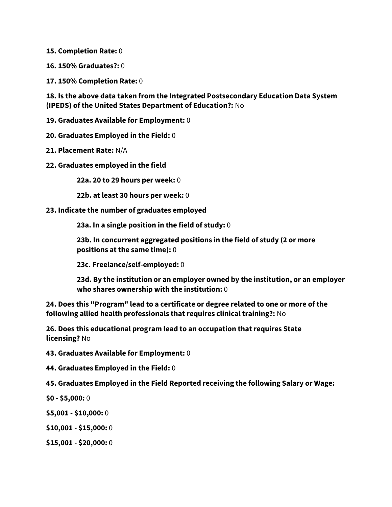**15. Completion Rate:** 0

**16. 150% Graduates?:** 0

**17. 150% Completion Rate:** 0

**18. Is the above data taken from the Integrated Postsecondary Education Data System (IPEDS) of the United States Department of Education?:** No

**19. Graduates Available for Employment:** 0

**20. Graduates Employed in the Field:** 0

- **21. Placement Rate:** N/A
- **22. Graduates employed in the field**

**22a. 20 to 29 hours per week:** 0

**22b. at least 30 hours per week:** 0

**23. Indicate the number of graduates employed**

**23a. In a single position in the field of study:** 0

**23b. In concurrent aggregated positions in the field of study (2 or more positions at the same time):** 0

**23c. Freelance/self-employed:** 0

**23d. By the institution or an employer owned by the institution, or an employer who shares ownership with the institution:** 0

**24. Does this "Program" lead to a certificate or degree related to one or more of the following allied health professionals that requires clinical training?:** No

**26. Does this educational program lead to an occupation that requires State licensing?** No

**43. Graduates Available for Employment:** 0

**44. Graduates Employed in the Field:** 0

**45. Graduates Employed in the Field Reported receiving the following Salary or Wage:**

**\$0 - \$5,000:** 0

**\$5,001 - \$10,000:** 0

- **\$10,001 - \$15,000:** 0
- **\$15,001 - \$20,000:** 0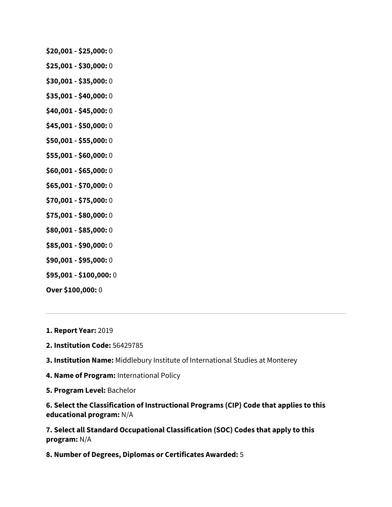- **\$20,001 - \$25,000:** 0
- **\$25,001 - \$30,000:** 0
- **\$30,001 - \$35,000:** 0
- **\$35,001 - \$40,000:** 0
- **\$40,001 - \$45,000:** 0
- **\$45,001 - \$50,000:** 0
- **\$50,001 - \$55,000:** 0
- **\$55,001 - \$60,000:** 0
- **\$60,001 - \$65,000:** 0
- **\$65,001 - \$70,000:** 0
- **\$70,001 - \$75,000:** 0
- **\$75,001 - \$80,000:** 0
- **\$80,001 - \$85,000:** 0
- **\$85,001 - \$90,000:** 0
- **\$90,001 - \$95,000:** 0
- **\$95,001 - \$100,000:** 0

**Over \$100,000:** 0

**1. Report Year:** 2019

- **2. Institution Code:** 56429785
- **3. Institution Name:** Middlebury Institute of International Studies at Monterey
- **4. Name of Program:** International Policy
- **5. Program Level:** Bachelor

**6. Select the Classification of Instructional Programs (CIP) Code that applies to this educational program:** N/A

**7. Select all Standard Occupational Classification (SOC) Codes that apply to this program:** N/A

**8. Number of Degrees, Diplomas or Certificates Awarded:** 5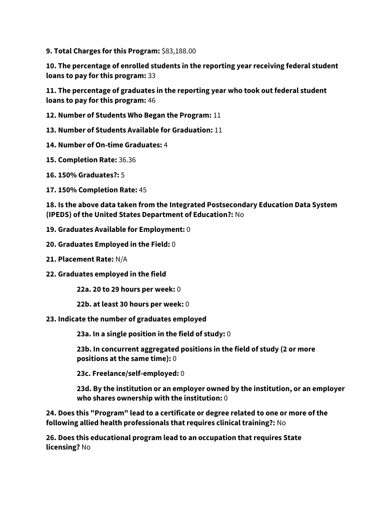**9. Total Charges for this Program:** \$83,188.00

**10. The percentage of enrolled students in the reporting year receiving federal student loans to pay for this program:** 33

**11. The percentage of graduates in the reporting year who took out federal student loans to pay for this program:** 46

- **12. Number of Students Who Began the Program:** 11
- **13. Number of Students Available for Graduation:** 11
- **14. Number of On-time Graduates:** 4
- **15. Completion Rate:** 36.36
- **16. 150% Graduates?:** 5
- **17. 150% Completion Rate:** 45

**18. Is the above data taken from the Integrated Postsecondary Education Data System (IPEDS) of the United States Department of Education?:** No

- **19. Graduates Available for Employment:** 0
- **20. Graduates Employed in the Field:** 0
- **21. Placement Rate:** N/A
- **22. Graduates employed in the field**

**22a. 20 to 29 hours per week:** 0

- **22b. at least 30 hours per week:** 0
- **23. Indicate the number of graduates employed**

**23a. In a single position in the field of study:** 0

**23b. In concurrent aggregated positions in the field of study (2 or more positions at the same time):** 0

**23c. Freelance/self-employed:** 0

**23d. By the institution or an employer owned by the institution, or an employer who shares ownership with the institution:** 0

**24. Does this "Program" lead to a certificate or degree related to one or more of the following allied health professionals that requires clinical training?:** No

**26. Does this educational program lead to an occupation that requires State licensing?** No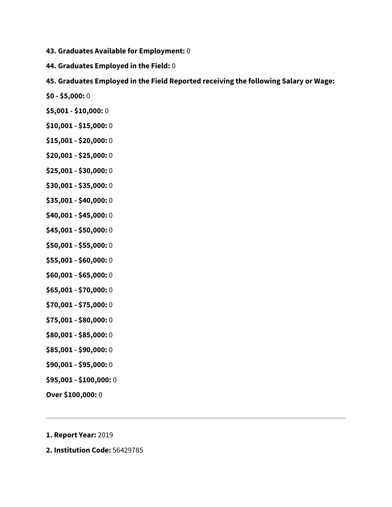- **43. Graduates Available for Employment:** 0
- **44. Graduates Employed in the Field:** 0
- **45. Graduates Employed in the Field Reported receiving the following Salary or Wage:**
- **\$0 - \$5,000:** 0
- **\$5,001 - \$10,000:** 0
- **\$10,001 - \$15,000:** 0
- **\$15,001 - \$20,000:** 0
- **\$20,001 - \$25,000:** 0
- **\$25,001 - \$30,000:** 0
- **\$30,001 - \$35,000:** 0
- **\$35,001 - \$40,000:** 0
- **\$40,001 - \$45,000:** 0
- **\$45,001 - \$50,000:** 0
- **\$50,001 - \$55,000:** 0
- **\$55,001 - \$60,000:** 0
- **\$60,001 - \$65,000:** 0
- **\$65,001 - \$70,000:** 0
- **\$70,001 - \$75,000:** 0
- **\$75,001 - \$80,000:** 0
- **\$80,001 - \$85,000:** 0
- **\$85,001 - \$90,000:** 0
- **\$90,001 - \$95,000:** 0
- **\$95,001 - \$100,000:** 0
- **Over \$100,000:** 0
- **1. Report Year:** 2019
- **2. Institution Code:** 56429785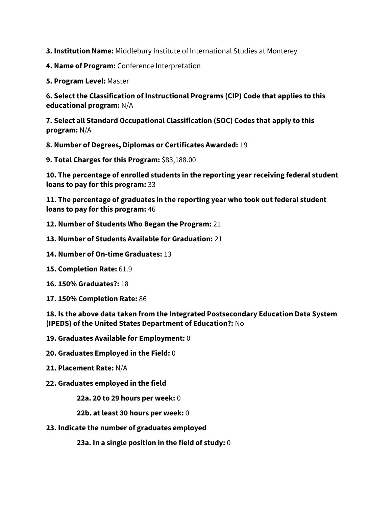**3. Institution Name:** Middlebury Institute of International Studies at Monterey

**4. Name of Program:** Conference Interpretation

**5. Program Level:** Master

**6. Select the Classification of Instructional Programs (CIP) Code that applies to this educational program:** N/A

**7. Select all Standard Occupational Classification (SOC) Codes that apply to this program:** N/A

**8. Number of Degrees, Diplomas or Certificates Awarded:** 19

**9. Total Charges for this Program:** \$83,188.00

**10. The percentage of enrolled students in the reporting year receiving federal student loans to pay for this program:** 33

**11. The percentage of graduates in the reporting year who took out federal student loans to pay for this program:** 46

**12. Number of Students Who Began the Program:** 21

- **13. Number of Students Available for Graduation:** 21
- **14. Number of On-time Graduates:** 13
- **15. Completion Rate:** 61.9
- **16. 150% Graduates?:** 18
- **17. 150% Completion Rate:** 86

**18. Is the above data taken from the Integrated Postsecondary Education Data System (IPEDS) of the United States Department of Education?:** No

- **19. Graduates Available for Employment:** 0
- **20. Graduates Employed in the Field:** 0
- **21. Placement Rate:** N/A
- **22. Graduates employed in the field**

**22a. 20 to 29 hours per week:** 0

**22b. at least 30 hours per week:** 0

**23. Indicate the number of graduates employed**

**23a. In a single position in the field of study:** 0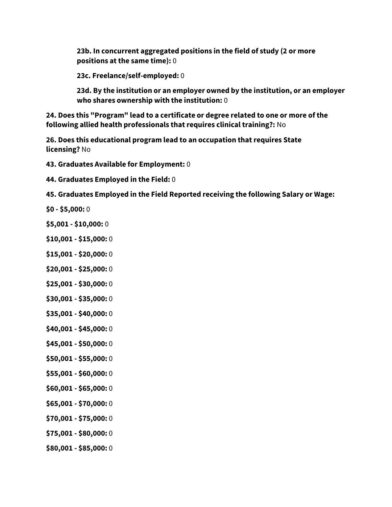**23b. In concurrent aggregated positions in the field of study (2 or more positions at the same time):** 0

**23c. Freelance/self-employed:** 0

**23d. By the institution or an employer owned by the institution, or an employer who shares ownership with the institution:** 0

**24. Does this "Program" lead to a certificate or degree related to one or more of the following allied health professionals that requires clinical training?:** No

**26. Does this educational program lead to an occupation that requires State licensing?** No

**43. Graduates Available for Employment:** 0

**44. Graduates Employed in the Field:** 0

**45. Graduates Employed in the Field Reported receiving the following Salary or Wage:**

- **\$0 - \$5,000:** 0
- **\$5,001 - \$10,000:** 0
- **\$10,001 - \$15,000:** 0
- **\$15,001 - \$20,000:** 0
- **\$20,001 - \$25,000:** 0
- **\$25,001 - \$30,000:** 0
- **\$30,001 - \$35,000:** 0
- **\$35,001 - \$40,000:** 0
- **\$40,001 - \$45,000:** 0
- **\$45,001 - \$50,000:** 0
- **\$50,001 - \$55,000:** 0
- **\$55,001 - \$60,000:** 0
- **\$60,001 - \$65,000:** 0
- **\$65,001 - \$70,000:** 0
- **\$70,001 - \$75,000:** 0
- **\$75,001 - \$80,000:** 0
- **\$80,001 - \$85,000:** 0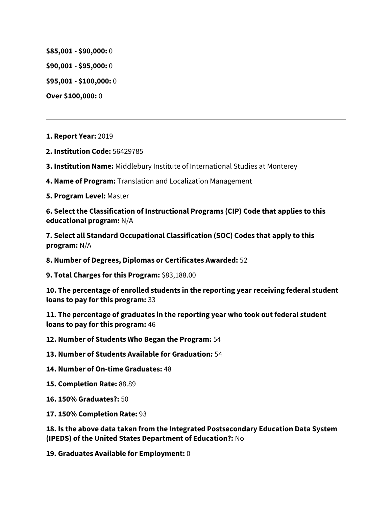**\$85,001 - \$90,000:** 0

**\$90,001 - \$95,000:** 0

**\$95,001 - \$100,000:** 0

**Over \$100,000:** 0

**1. Report Year:** 2019

**2. Institution Code:** 56429785

**3. Institution Name:** Middlebury Institute of International Studies at Monterey

**4. Name of Program:** Translation and Localization Management

**5. Program Level:** Master

**6. Select the Classification of Instructional Programs (CIP) Code that applies to this educational program:** N/A

**7. Select all Standard Occupational Classification (SOC) Codes that apply to this program:** N/A

**8. Number of Degrees, Diplomas or Certificates Awarded:** 52

**9. Total Charges for this Program:** \$83,188.00

**10. The percentage of enrolled students in the reporting year receiving federal student loans to pay for this program:** 33

**11. The percentage of graduates in the reporting year who took out federal student loans to pay for this program:** 46

**12. Number of Students Who Began the Program:** 54

**13. Number of Students Available for Graduation:** 54

- **14. Number of On-time Graduates:** 48
- **15. Completion Rate:** 88.89
- **16. 150% Graduates?:** 50
- **17. 150% Completion Rate:** 93

**18. Is the above data taken from the Integrated Postsecondary Education Data System (IPEDS) of the United States Department of Education?:** No

**19. Graduates Available for Employment:** 0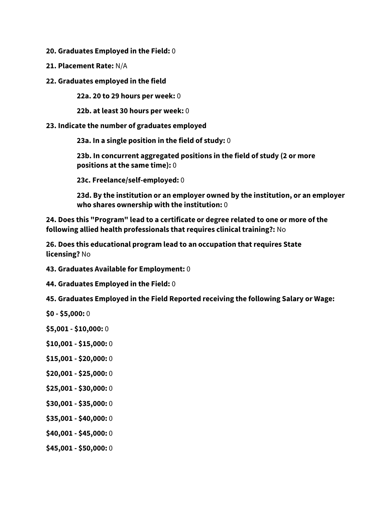**20. Graduates Employed in the Field:** 0

- **21. Placement Rate:** N/A
- **22. Graduates employed in the field**

**22a. 20 to 29 hours per week:** 0

**22b. at least 30 hours per week:** 0

**23. Indicate the number of graduates employed**

**23a. In a single position in the field of study:** 0

**23b. In concurrent aggregated positions in the field of study (2 or more positions at the same time):** 0

**23c. Freelance/self-employed:** 0

**23d. By the institution or an employer owned by the institution, or an employer who shares ownership with the institution:** 0

**24. Does this "Program" lead to a certificate or degree related to one or more of the following allied health professionals that requires clinical training?:** No

**26. Does this educational program lead to an occupation that requires State licensing?** No

**43. Graduates Available for Employment:** 0

**44. Graduates Employed in the Field:** 0

**45. Graduates Employed in the Field Reported receiving the following Salary or Wage:**

- **\$0 - \$5,000:** 0
- **\$5,001 - \$10,000:** 0
- **\$10,001 - \$15,000:** 0
- **\$15,001 - \$20,000:** 0
- **\$20,001 - \$25,000:** 0
- **\$25,001 - \$30,000:** 0
- **\$30,001 - \$35,000:** 0
- **\$35,001 - \$40,000:** 0
- **\$40,001 - \$45,000:** 0
- **\$45,001 - \$50,000:** 0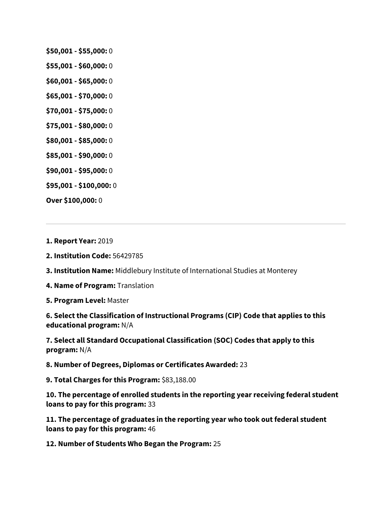- **\$50,001 - \$55,000:** 0
- **\$55,001 - \$60,000:** 0
- **\$60,001 - \$65,000:** 0
- **\$65,001 - \$70,000:** 0
- **\$70,001 - \$75,000:** 0
- **\$75,001 - \$80,000:** 0
- **\$80,001 - \$85,000:** 0
- **\$85,001 - \$90,000:** 0
- **\$90,001 - \$95,000:** 0
- **\$95,001 - \$100,000:** 0

**Over \$100,000:** 0

**1. Report Year:** 2019

**2. Institution Code:** 56429785

**3. Institution Name:** Middlebury Institute of International Studies at Monterey

**4. Name of Program:** Translation

**5. Program Level:** Master

**6. Select the Classification of Instructional Programs (CIP) Code that applies to this educational program:** N/A

**7. Select all Standard Occupational Classification (SOC) Codes that apply to this program:** N/A

**8. Number of Degrees, Diplomas or Certificates Awarded:** 23

**9. Total Charges for this Program:** \$83,188.00

**10. The percentage of enrolled students in the reporting year receiving federal student loans to pay for this program:** 33

**11. The percentage of graduates in the reporting year who took out federal student loans to pay for this program:** 46

**12. Number of Students Who Began the Program:** 25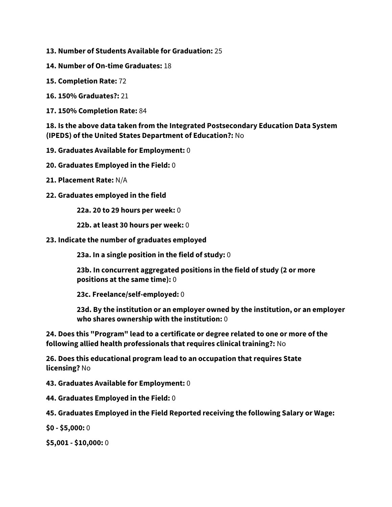- **13. Number of Students Available for Graduation:** 25
- **14. Number of On-time Graduates:** 18
- **15. Completion Rate:** 72
- **16. 150% Graduates?:** 21
- **17. 150% Completion Rate:** 84

**18. Is the above data taken from the Integrated Postsecondary Education Data System (IPEDS) of the United States Department of Education?:** No

- **19. Graduates Available for Employment:** 0
- **20. Graduates Employed in the Field:** 0
- **21. Placement Rate:** N/A
- **22. Graduates employed in the field**

**22a. 20 to 29 hours per week:** 0

**22b. at least 30 hours per week:** 0

**23. Indicate the number of graduates employed**

**23a. In a single position in the field of study:** 0

**23b. In concurrent aggregated positions in the field of study (2 or more positions at the same time):** 0

**23c. Freelance/self-employed:** 0

**23d. By the institution or an employer owned by the institution, or an employer who shares ownership with the institution:** 0

**24. Does this "Program" lead to a certificate or degree related to one or more of the following allied health professionals that requires clinical training?:** No

**26. Does this educational program lead to an occupation that requires State licensing?** No

**43. Graduates Available for Employment:** 0

**44. Graduates Employed in the Field:** 0

**45. Graduates Employed in the Field Reported receiving the following Salary or Wage:**

**\$0 - \$5,000:** 0

**\$5,001 - \$10,000:** 0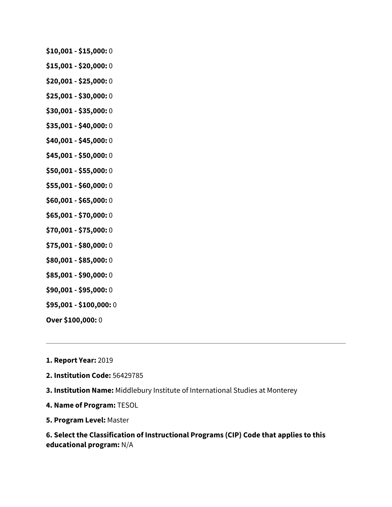- **\$10,001 - \$15,000:** 0
- **\$15,001 - \$20,000:** 0
- **\$20,001 - \$25,000:** 0
- **\$25,001 - \$30,000:** 0
- **\$30,001 - \$35,000:** 0
- **\$35,001 - \$40,000:** 0
- **\$40,001 - \$45,000:** 0
- **\$45,001 - \$50,000:** 0
- **\$50,001 - \$55,000:** 0
- **\$55,001 - \$60,000:** 0
- **\$60,001 - \$65,000:** 0
- **\$65,001 - \$70,000:** 0
- **\$70,001 - \$75,000:** 0
- **\$75,001 - \$80,000:** 0
- **\$80,001 - \$85,000:** 0
- **\$85,001 - \$90,000:** 0
- **\$90,001 - \$95,000:** 0
- **\$95,001 - \$100,000:** 0
- **Over \$100,000:** 0
- **1. Report Year:** 2019
- **2. Institution Code:** 56429785
- **3. Institution Name:** Middlebury Institute of International Studies at Monterey
- **4. Name of Program:** TESOL
- **5. Program Level:** Master

**6. Select the Classification of Instructional Programs (CIP) Code that applies to this educational program:** N/A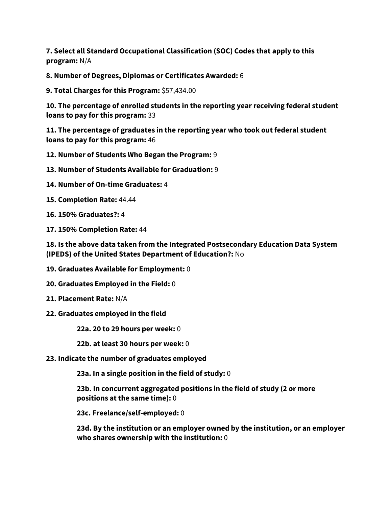**7. Select all Standard Occupational Classification (SOC) Codes that apply to this program:** N/A

**8. Number of Degrees, Diplomas or Certificates Awarded:** 6

**9. Total Charges for this Program:** \$57,434.00

**10. The percentage of enrolled students in the reporting year receiving federal student loans to pay for this program:** 33

**11. The percentage of graduates in the reporting year who took out federal student loans to pay for this program:** 46

**12. Number of Students Who Began the Program:** 9

**13. Number of Students Available for Graduation:** 9

**14. Number of On-time Graduates:** 4

**15. Completion Rate:** 44.44

**16. 150% Graduates?:** 4

**17. 150% Completion Rate:** 44

**18. Is the above data taken from the Integrated Postsecondary Education Data System (IPEDS) of the United States Department of Education?:** No

- **19. Graduates Available for Employment:** 0
- **20. Graduates Employed in the Field:** 0
- **21. Placement Rate:** N/A
- **22. Graduates employed in the field**

**22a. 20 to 29 hours per week:** 0

**22b. at least 30 hours per week:** 0

**23. Indicate the number of graduates employed**

**23a. In a single position in the field of study:** 0

**23b. In concurrent aggregated positions in the field of study (2 or more positions at the same time):** 0

**23c. Freelance/self-employed:** 0

**23d. By the institution or an employer owned by the institution, or an employer who shares ownership with the institution:** 0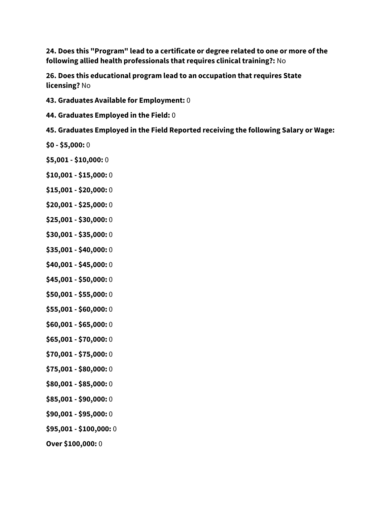**24. Does this "Program" lead to a certificate or degree related to one or more of the following allied health professionals that requires clinical training?:** No

**26. Does this educational program lead to an occupation that requires State licensing?** No

- **43. Graduates Available for Employment:** 0
- **44. Graduates Employed in the Field:** 0

**45. Graduates Employed in the Field Reported receiving the following Salary or Wage:**

- **\$0 - \$5,000:** 0
- **\$5,001 - \$10,000:** 0
- **\$10,001 - \$15,000:** 0
- **\$15,001 - \$20,000:** 0
- **\$20,001 - \$25,000:** 0
- **\$25,001 - \$30,000:** 0
- **\$30,001 - \$35,000:** 0
- **\$35,001 - \$40,000:** 0
- **\$40,001 - \$45,000:** 0
- **\$45,001 - \$50,000:** 0
- **\$50,001 - \$55,000:** 0
- **\$55,001 - \$60,000:** 0
- **\$60,001 - \$65,000:** 0
- **\$65,001 - \$70,000:** 0
- **\$70,001 - \$75,000:** 0
- **\$75,001 - \$80,000:** 0
- **\$80,001 - \$85,000:** 0
- **\$85,001 - \$90,000:** 0
- **\$90,001 - \$95,000:** 0
- **\$95,001 - \$100,000:** 0
- **Over \$100,000:** 0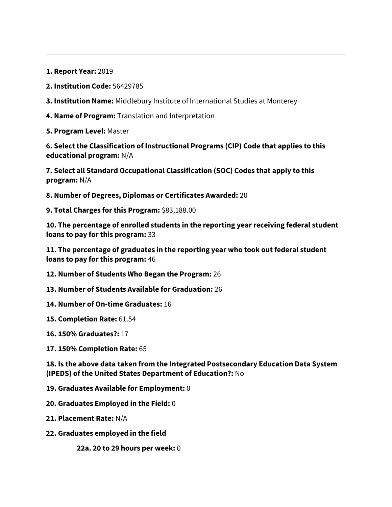**1. Report Year:** 2019

**2. Institution Code:** 56429785

**3. Institution Name:** Middlebury Institute of International Studies at Monterey

**4. Name of Program:** Translation and Interpretation

**5. Program Level:** Master

**6. Select the Classification of Instructional Programs (CIP) Code that applies to this educational program:** N/A

**7. Select all Standard Occupational Classification (SOC) Codes that apply to this program:** N/A

**8. Number of Degrees, Diplomas or Certificates Awarded:** 20

**9. Total Charges for this Program:** \$83,188.00

**10. The percentage of enrolled students in the reporting year receiving federal student loans to pay for this program:** 33

**11. The percentage of graduates in the reporting year who took out federal student loans to pay for this program:** 46

**12. Number of Students Who Began the Program:** 26

- **13. Number of Students Available for Graduation:** 26
- **14. Number of On-time Graduates:** 16

**15. Completion Rate:** 61.54

**16. 150% Graduates?:** 17

**17. 150% Completion Rate:** 65

**18. Is the above data taken from the Integrated Postsecondary Education Data System (IPEDS) of the United States Department of Education?:** No

**19. Graduates Available for Employment:** 0

**20. Graduates Employed in the Field:** 0

**21. Placement Rate:** N/A

**22. Graduates employed in the field**

**22a. 20 to 29 hours per week:** 0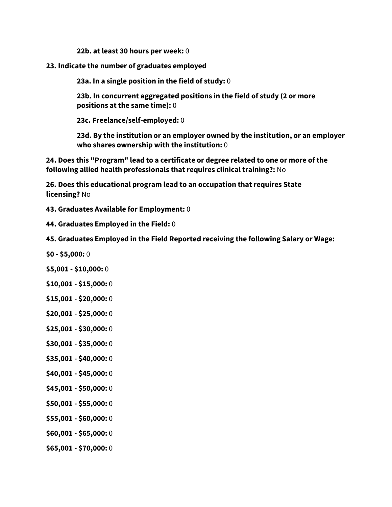**22b. at least 30 hours per week:** 0

**23. Indicate the number of graduates employed**

**23a. In a single position in the field of study:** 0

**23b. In concurrent aggregated positions in the field of study (2 or more positions at the same time):** 0

**23c. Freelance/self-employed:** 0

**23d. By the institution or an employer owned by the institution, or an employer who shares ownership with the institution:** 0

**24. Does this "Program" lead to a certificate or degree related to one or more of the following allied health professionals that requires clinical training?:** No

**26. Does this educational program lead to an occupation that requires State licensing?** No

- **43. Graduates Available for Employment:** 0
- **44. Graduates Employed in the Field:** 0
- **45. Graduates Employed in the Field Reported receiving the following Salary or Wage:**
- **\$0 - \$5,000:** 0
- **\$5,001 - \$10,000:** 0
- **\$10,001 - \$15,000:** 0
- **\$15,001 - \$20,000:** 0
- **\$20,001 - \$25,000:** 0
- **\$25,001 - \$30,000:** 0
- **\$30,001 - \$35,000:** 0
- **\$35,001 - \$40,000:** 0
- **\$40,001 - \$45,000:** 0
- **\$45,001 - \$50,000:** 0
- **\$50,001 - \$55,000:** 0
- **\$55,001 - \$60,000:** 0
- **\$60,001 - \$65,000:** 0
- **\$65,001 - \$70,000:** 0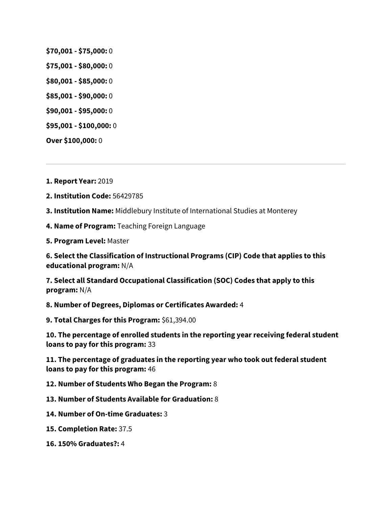- **\$70,001 - \$75,000:** 0
- **\$75,001 - \$80,000:** 0
- **\$80,001 - \$85,000:** 0
- **\$85,001 - \$90,000:** 0
- **\$90,001 - \$95,000:** 0
- **\$95,001 - \$100,000:** 0
- **Over \$100,000:** 0

**1. Report Year:** 2019

- **2. Institution Code:** 56429785
- **3. Institution Name:** Middlebury Institute of International Studies at Monterey
- **4. Name of Program:** Teaching Foreign Language
- **5. Program Level:** Master

**6. Select the Classification of Instructional Programs (CIP) Code that applies to this educational program:** N/A

**7. Select all Standard Occupational Classification (SOC) Codes that apply to this program:** N/A

**8. Number of Degrees, Diplomas or Certificates Awarded:** 4

**9. Total Charges for this Program:** \$61,394.00

**10. The percentage of enrolled students in the reporting year receiving federal student loans to pay for this program:** 33

**11. The percentage of graduates in the reporting year who took out federal student loans to pay for this program:** 46

**12. Number of Students Who Began the Program:** 8

- **13. Number of Students Available for Graduation:** 8
- **14. Number of On-time Graduates:** 3
- **15. Completion Rate:** 37.5
- **16. 150% Graduates?:** 4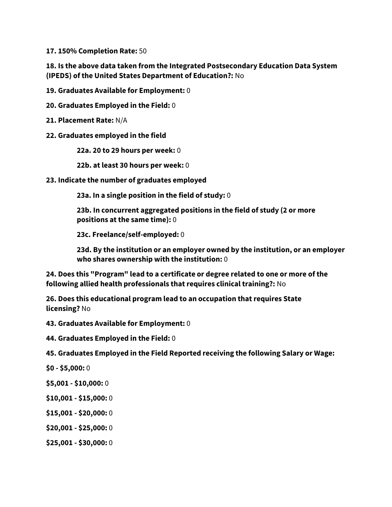**17. 150% Completion Rate:** 50

**18. Is the above data taken from the Integrated Postsecondary Education Data System (IPEDS) of the United States Department of Education?:** No

**19. Graduates Available for Employment:** 0

**20. Graduates Employed in the Field:** 0

**21. Placement Rate:** N/A

#### **22. Graduates employed in the field**

**22a. 20 to 29 hours per week:** 0

**22b. at least 30 hours per week:** 0

#### **23. Indicate the number of graduates employed**

**23a. In a single position in the field of study:** 0

**23b. In concurrent aggregated positions in the field of study (2 or more positions at the same time):** 0

**23c. Freelance/self-employed:** 0

**23d. By the institution or an employer owned by the institution, or an employer who shares ownership with the institution:** 0

**24. Does this "Program" lead to a certificate or degree related to one or more of the following allied health professionals that requires clinical training?:** No

**26. Does this educational program lead to an occupation that requires State licensing?** No

**43. Graduates Available for Employment:** 0

**44. Graduates Employed in the Field:** 0

**45. Graduates Employed in the Field Reported receiving the following Salary or Wage:**

- **\$0 - \$5,000:** 0
- **\$5,001 - \$10,000:** 0
- **\$10,001 - \$15,000:** 0
- **\$15,001 - \$20,000:** 0
- **\$20,001 - \$25,000:** 0
- **\$25,001 - \$30,000:** 0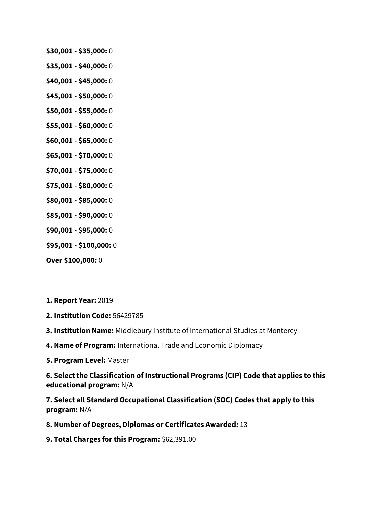- **\$30,001 - \$35,000:** 0
- **\$35,001 - \$40,000:** 0
- **\$40,001 - \$45,000:** 0
- **\$45,001 - \$50,000:** 0
- **\$50,001 - \$55,000:** 0
- **\$55,001 - \$60,000:** 0
- **\$60,001 - \$65,000:** 0
- **\$65,001 - \$70,000:** 0
- **\$70,001 - \$75,000:** 0
- **\$75,001 - \$80,000:** 0
- **\$80,001 - \$85,000:** 0
- **\$85,001 - \$90,000:** 0
- **\$90,001 - \$95,000:** 0
- **\$95,001 - \$100,000:** 0
- **Over \$100,000:** 0
- **1. Report Year:** 2019
- **2. Institution Code:** 56429785
- **3. Institution Name:** Middlebury Institute of International Studies at Monterey
- **4. Name of Program:** International Trade and Economic Diplomacy
- **5. Program Level:** Master

**6. Select the Classification of Instructional Programs (CIP) Code that applies to this educational program:** N/A

**7. Select all Standard Occupational Classification (SOC) Codes that apply to this program:** N/A

- **8. Number of Degrees, Diplomas or Certificates Awarded:** 13
- **9. Total Charges for this Program:** \$62,391.00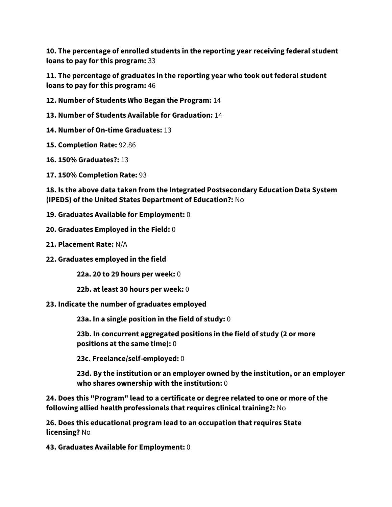**10. The percentage of enrolled students in the reporting year receiving federal student loans to pay for this program:** 33

**11. The percentage of graduates in the reporting year who took out federal student loans to pay for this program:** 46

**12. Number of Students Who Began the Program:** 14

**13. Number of Students Available for Graduation:** 14

**14. Number of On-time Graduates:** 13

**15. Completion Rate:** 92.86

**16. 150% Graduates?:** 13

**17. 150% Completion Rate:** 93

**18. Is the above data taken from the Integrated Postsecondary Education Data System (IPEDS) of the United States Department of Education?:** No

**19. Graduates Available for Employment:** 0

**20. Graduates Employed in the Field:** 0

**21. Placement Rate:** N/A

**22. Graduates employed in the field**

**22a. 20 to 29 hours per week:** 0

**22b. at least 30 hours per week:** 0

**23. Indicate the number of graduates employed**

**23a. In a single position in the field of study:** 0

**23b. In concurrent aggregated positions in the field of study (2 or more positions at the same time):** 0

**23c. Freelance/self-employed:** 0

**23d. By the institution or an employer owned by the institution, or an employer who shares ownership with the institution:** 0

**24. Does this "Program" lead to a certificate or degree related to one or more of the following allied health professionals that requires clinical training?:** No

**26. Does this educational program lead to an occupation that requires State licensing?** No

**43. Graduates Available for Employment:** 0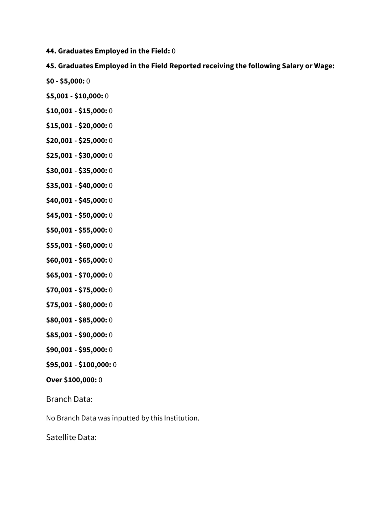**44. Graduates Employed in the Field:** 0

# **45. Graduates Employed in the Field Reported receiving the following Salary or Wage:**

- **\$0 - \$5,000:** 0
- **\$5,001 - \$10,000:** 0
- **\$10,001 - \$15,000:** 0
- **\$15,001 - \$20,000:** 0
- **\$20,001 - \$25,000:** 0
- **\$25,001 - \$30,000:** 0
- **\$30,001 - \$35,000:** 0
- **\$35,001 - \$40,000:** 0
- **\$40,001 - \$45,000:** 0
- **\$45,001 - \$50,000:** 0
- **\$50,001 - \$55,000:** 0
- **\$55,001 - \$60,000:** 0
- **\$60,001 - \$65,000:** 0
- **\$65,001 - \$70,000:** 0
- **\$70,001 - \$75,000:** 0
- **\$75,001 - \$80,000:** 0
- **\$80,001 - \$85,000:** 0
- **\$85,001 - \$90,000:** 0
- **\$90,001 - \$95,000:** 0
- **\$95,001 - \$100,000:** 0

## **Over \$100,000:** 0

Branch Data:

No Branch Data was inputted by this Institution.

Satellite Data: